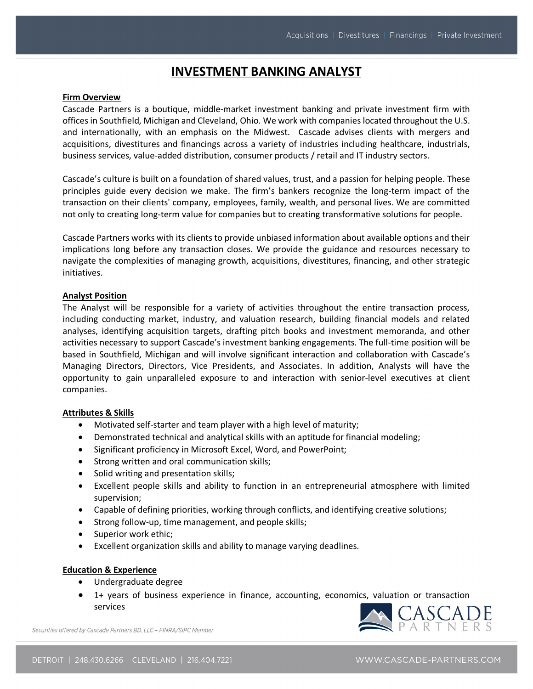# **INVESTMENT BANKING ANALYST**

#### **Firm Overview**

Cascade Partners is a boutique, middle-market investment banking and private investment firm with offices in Southfield, Michigan and Cleveland, Ohio. We work with companies located throughout the U.S. and internationally, with an emphasis on the Midwest. Cascade advises clients with mergers and acquisitions, divestitures and financings across a variety of industries including healthcare, industrials, business services, value-added distribution, consumer products / retail and IT industry sectors.

Cascade's culture is built on a foundation of shared values, trust, and a passion for helping people. These principles guide every decision we make. The firm's bankers recognize the long-term impact of the transaction on their clients' company, employees, family, wealth, and personal lives. We are committed not only to creating long-term value for companies but to creating transformative solutions for people.

Cascade Partners works with its clients to provide unbiased information about available options and their implications long before any transaction closes. We provide the guidance and resources necessary to navigate the complexities of managing growth, acquisitions, divestitures, financing, and other strategic initiatives.

#### **Analyst Position**

The Analyst will be responsible for a variety of activities throughout the entire transaction process, including conducting market, industry, and valuation research, building financial models and related analyses, identifying acquisition targets, drafting pitch books and investment memoranda, and other activities necessary to support Cascade's investment banking engagements. The full-time position will be based in Southfield, Michigan and will involve significant interaction and collaboration with Cascade's Managing Directors, Directors, Vice Presidents, and Associates. In addition, Analysts will have the opportunity to gain unparalleled exposure to and interaction with senior-level executives at client companies.

## **Attributes & Skills**

- Motivated self-starter and team player with a high level of maturity;
- Demonstrated technical and analytical skills with an aptitude for financial modeling;
- Significant proficiency in Microsoft Excel, Word, and PowerPoint;
- Strong written and oral communication skills;
- Solid writing and presentation skills;
- Excellent people skills and ability to function in an entrepreneurial atmosphere with limited supervision;
- Capable of defining priorities, working through conflicts, and identifying creative solutions;
- Strong follow-up, time management, and people skills;
- Superior work ethic;
- Excellent organization skills and ability to manage varying deadlines.

## **Education & Experience**

- Undergraduate degree
- 1+ years of business experience in finance, accounting, economics, valuation or transaction services



Securities offered by Cascade Partners BD 11C - FINRA/SIPC Member